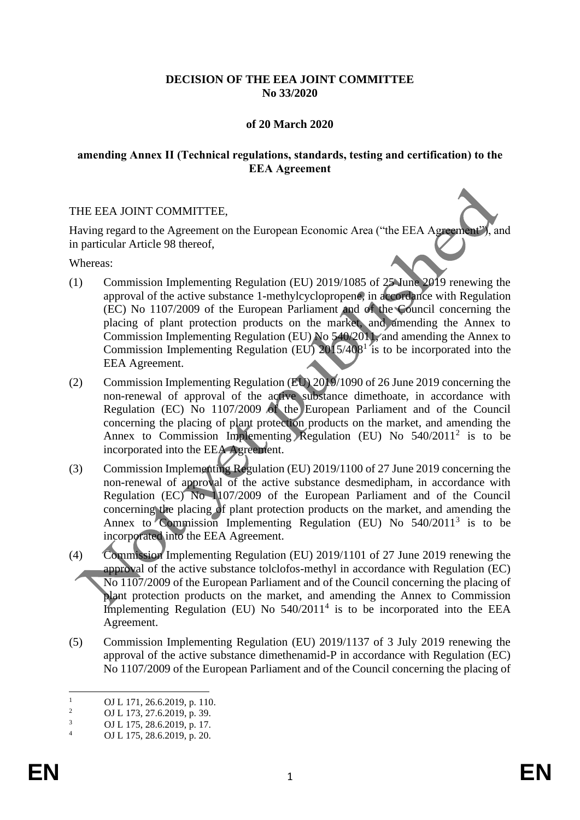# **DECISION OF THE EEA JOINT COMMITTEE No 33/2020**

# **of 20 March 2020**

## **amending Annex II (Technical regulations, standards, testing and certification) to the EEA Agreement**

## THE EEA JOINT COMMITTEE,

Having regard to the Agreement on the European Economic Area ("the EEA Agreement"), and in particular Article 98 thereof,

Whereas:

- (1) Commission Implementing Regulation (EU) 2019/1085 of 25 June 2019 renewing the approval of the active substance 1-methylcyclopropene, in accordance with Regulation (EC) No 1107/2009 of the European Parliament and of the Council concerning the placing of plant protection products on the market, and amending the Annex to Commission Implementing Regulation (EU) No 540/2011, and amending the Annex to Commission Implementing Regulation (EU)  $2015/408<sup>1</sup>$  is to be incorporated into the EEA Agreement.
- (2) Commission Implementing Regulation (EU) 2019/1090 of 26 June 2019 concerning the non-renewal of approval of the active substance dimethoate, in accordance with Regulation (EC) No 1107/2009 of the European Parliament and of the Council concerning the placing of plant protection products on the market, and amending the Annex to Commission Implementing Regulation (EU) No  $540/2011^2$  is to be incorporated into the EEA Agreement.
- (3) Commission Implementing Regulation (EU) 2019/1100 of 27 June 2019 concerning the non-renewal of approval of the active substance desmedipham, in accordance with Regulation (EC) No 1107/2009 of the European Parliament and of the Council concerning the placing of plant protection products on the market, and amending the Annex to Commission Implementing Regulation (EU) No 540/2011<sup>3</sup> is to be incorporated into the EEA Agreement.
- (4) Commission Implementing Regulation (EU) 2019/1101 of 27 June 2019 renewing the approval of the active substance tolclofos-methyl in accordance with Regulation (EC) No 1107/2009 of the European Parliament and of the Council concerning the placing of plant protection products on the market, and amending the Annex to Commission Implementing Regulation (EU) No  $540/2011<sup>4</sup>$  is to be incorporated into the EEA Agreement.
- (5) Commission Implementing Regulation (EU) 2019/1137 of 3 July 2019 renewing the approval of the active substance dimethenamid-P in accordance with Regulation (EC) No 1107/2009 of the European Parliament and of the Council concerning the placing of

<sup>&</sup>lt;sup>1</sup> OJ L 171, 26.6.2019, p. 110.<br><sup>2</sup> OJ L 172, 27.6.2010, p. 20.

<sup>&</sup>lt;sup>2</sup> OJ L 173, 27.6.2019, p. 39.<br>
OJ L 175, 28.6.2019, p. 17

 $\frac{3}{4}$  OJ L 175, 28.6.2019, p. 17.

<sup>4</sup> OJ L 175, 28.6.2019, p. 20.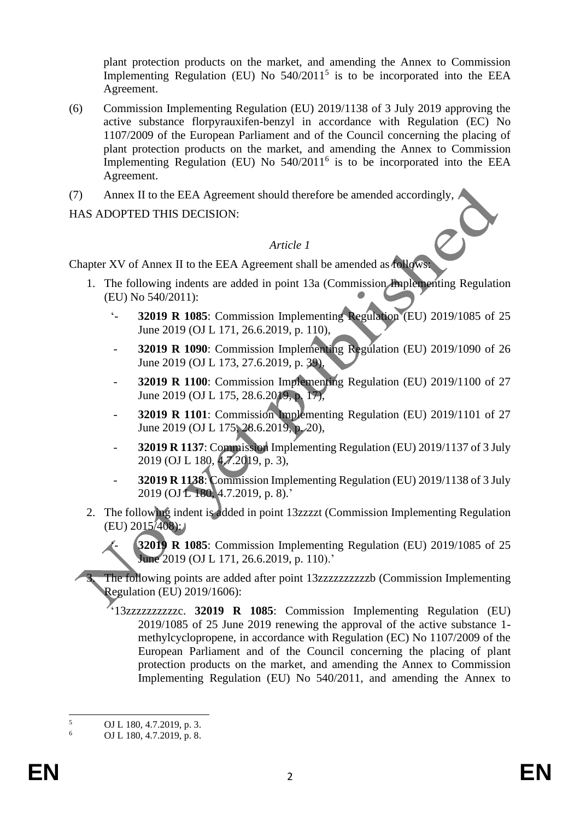plant protection products on the market, and amending the Annex to Commission Implementing Regulation (EU) No  $540/2011^5$  is to be incorporated into the EEA Agreement.

- (6) Commission Implementing Regulation (EU) 2019/1138 of 3 July 2019 approving the active substance florpyrauxifen-benzyl in accordance with Regulation (EC) No 1107/2009 of the European Parliament and of the Council concerning the placing of plant protection products on the market, and amending the Annex to Commission Implementing Regulation (EU) No  $540/2011^6$  is to be incorporated into the EEA Agreement.
- (7) Annex II to the EEA Agreement should therefore be amended accordingly,

HAS ADOPTED THIS DECISION:

#### *Article 1*

Chapter XV of Annex II to the EEA Agreement shall be amended as follows:

- 1. The following indents are added in point 13a (Commission Implementing Regulation (EU) No 540/2011):
	- '- **32019 R 1085**: Commission Implementing Regulation (EU) 2019/1085 of 25 June 2019 (OJ L 171, 26.6.2019, p. 110),
	- **32019 R 1090**: Commission Implementing Regulation (EU) 2019/1090 of 26 June 2019 (OJ L 173, 27.6.2019, p. 39),
	- **32019 R 1100**: Commission Implementing Regulation (EU) 2019/1100 of 27 June 2019 (OJ L 175, 28.6.2019, p. 17),
	- **32019 R 1101**: Commission Implementing Regulation (EU) 2019/1101 of 27 June 2019 (OJ L 175, 28.6.2019, p. 20),
	- **32019 R 1137**: Commission Implementing Regulation (EU) 2019/1137 of 3 July 2019 (OJ L 180, 4.7.2019, p. 3),
	- **32019 R 1138**: Commission Implementing Regulation (EU) 2019/1138 of 3 July 2019 (OJ L 180, 4.7.2019, p. 8).'
- 2. The following indent is added in point 13zzzzt (Commission Implementing Regulation  $(EU) 2015/408$ :

**32019 R 1085**: Commission Implementing Regulation (EU) 2019/1085 of 25 June 2019 (OJ L 171, 26.6.2019, p. 110).'

The following points are added after point 13zzzzzzzzzzzb (Commission Implementing Regulation (EU) 2019/1606):

'13zzzzzzzzzzc. **32019 R 1085**: Commission Implementing Regulation (EU) 2019/1085 of 25 June 2019 renewing the approval of the active substance 1 methylcyclopropene, in accordance with Regulation (EC) No 1107/2009 of the European Parliament and of the Council concerning the placing of plant protection products on the market, and amending the Annex to Commission Implementing Regulation (EU) No 540/2011, and amending the Annex to

 $\frac{5}{6}$  OJ L 180, 4.7.2019, p. 3.

<sup>6</sup> OJ L 180, 4.7.2019, p. 8.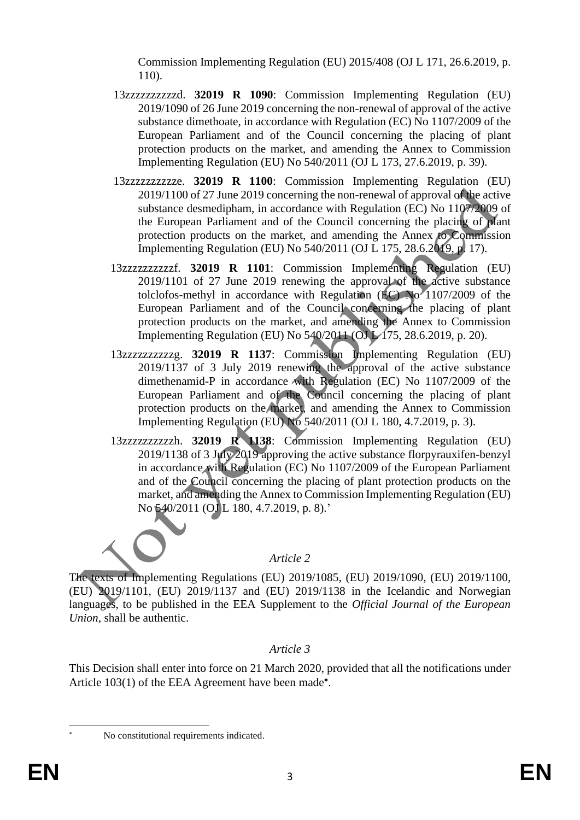Commission Implementing Regulation (EU) 2015/408 (OJ L 171, 26.6.2019, p. 110).

- 13zzzzzzzzzzd. **32019 R 1090**: Commission Implementing Regulation (EU) 2019/1090 of 26 June 2019 concerning the non-renewal of approval of the active substance dimethoate, in accordance with Regulation (EC) No 1107/2009 of the European Parliament and of the Council concerning the placing of plant protection products on the market, and amending the Annex to Commission Implementing Regulation (EU) No 540/2011 (OJ L 173, 27.6.2019, p. 39).
- 13zzzzzzzzzze. **32019 R 1100**: Commission Implementing Regulation (EU) 2019/1100 of 27 June 2019 concerning the non-renewal of approval of the active substance desmedipham, in accordance with Regulation (EC) No 1107/2009 of the European Parliament and of the Council concerning the placing of plant protection products on the market, and amending the Annex to Commission Implementing Regulation (EU) No 540/2011 (OJ L 175, 28.6.2019, p. 17).
- 13zzzzzzzzzzf. **32019 R 1101**: Commission Implementing Regulation (EU) 2019/1101 of 27 June 2019 renewing the approval of the active substance tolclofos-methyl in accordance with Regulation  $(EC)$  No $\prime$  1107/2009 of the European Parliament and of the Council concerning the placing of plant protection products on the market, and amending the Annex to Commission Implementing Regulation (EU) No 540/2011 (OJ L 175, 28.6.2019, p. 20).
- 13zzzzzzzzzzg. **32019 R 1137**: Commission Implementing Regulation (EU) 2019/1137 of 3 July 2019 renewing the approval of the active substance dimethenamid-P in accordance with Regulation (EC) No 1107/2009 of the European Parliament and of the Council concerning the placing of plant protection products on the market, and amending the Annex to Commission Implementing Regulation (EU) No 540/2011 (OJ L 180, 4.7.2019, p. 3).
- 13zzzzzzzzzzh. **32019 R 1138**: Commission Implementing Regulation (EU) 2019/1138 of 3 July 2019 approving the active substance florpyrauxifen-benzyl in accordance with Regulation (EC) No 1107/2009 of the European Parliament and of the Council concerning the placing of plant protection products on the market, and amending the Annex to Commission Implementing Regulation (EU) No 540/2011 (OJ L 180, 4.7.2019, p. 8).'

# *Article 2*

The texts of Implementing Regulations (EU) 2019/1085, (EU) 2019/1090, (EU) 2019/1100, (EU) 2019/1101, (EU) 2019/1137 and (EU) 2019/1138 in the Icelandic and Norwegian languages, to be published in the EEA Supplement to the *Official Journal of the European Union*, shall be authentic.

## *Article 3*

This Decision shall enter into force on 21 March 2020, provided that all the notifications under Article 103(1) of the EEA Agreement have been made\*.

No constitutional requirements indicated.